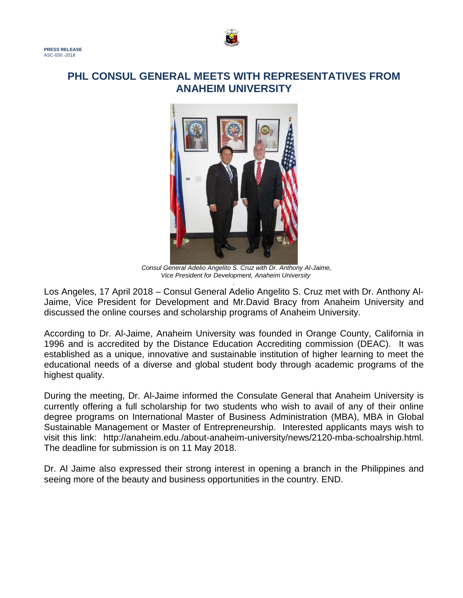

## **PHL CONSUL GENERAL MEETS WITH REPRESENTATIVES FROM ANAHEIM UNIVERSITY**



*Consul General Adelio Angelito S. Cruz with Dr. Anthony Al-Jaime, Vice President for Development, Anaheim University*

*.* Los Angeles, 17 April 2018 – Consul General Adelio Angelito S. Cruz met with Dr. Anthony Al-Jaime, Vice President for Development and Mr.David Bracy from Anaheim University and discussed the online courses and scholarship programs of Anaheim University.

According to Dr. Al-Jaime, Anaheim University was founded in Orange County, California in 1996 and is accredited by the Distance Education Accrediting commission (DEAC). It was established as a unique, innovative and sustainable institution of higher learning to meet the educational needs of a diverse and global student body through academic programs of the highest quality.

During the meeting, Dr. Al-Jaime informed the Consulate General that Anaheim University is currently offering a full scholarship for two students who wish to avail of any of their online degree programs on International Master of Business Administration (MBA), MBA in Global Sustainable Management or Master of Entrepreneurship. Interested applicants mays wish to visit this link: http://anaheim.edu./about-anaheim-university/news/2120-mba-schoalrship.html. The deadline for submission is on 11 May 2018.

Dr. Al Jaime also expressed their strong interest in opening a branch in the Philippines and seeing more of the beauty and business opportunities in the country. END.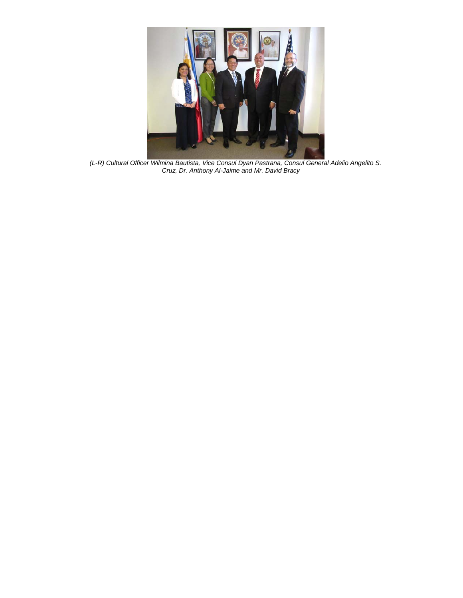

*(L-R) Cultural Officer Wilmina Bautista, Vice Consul Dyan Pastrana, Consul General Adelio Angelito S. Cruz, Dr. Anthony Al-Jaime and Mr. David Bracy*